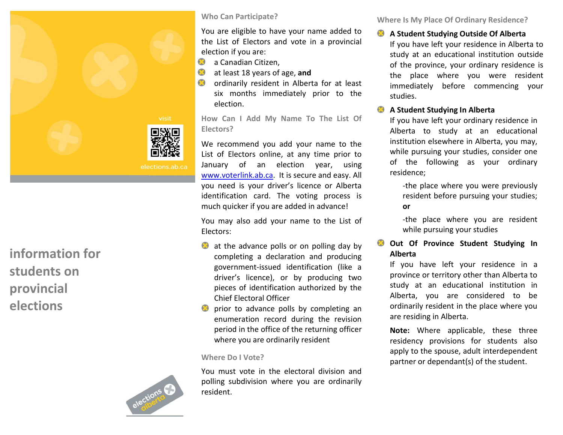

**information for students on provincial elections**



## **Who Can Participate?**

You are eligible to have your name added to the List of Electors and vote in a provincial election if you are:

- a Canadian Citizen,
- at least 18 years of age, **and**
- **O** ordinarily resident in Alberta for at least six months immediately prior to the election .

**How Can I Add My Name To The List Of Electors ?**

We recommend you add your name to the List of Electors online , at any time prior to January of an election year , using [www.voterlink.ab.ca.](http://www.voterlink.ab.ca/) It is secure and easy. All you need is your driver's licence or Alberta identification card. The voting process is much quicker if you are added in advance!

You may also add your name to the List of Electors:

- at the advance polls or on polling day by completing a declaration and producing government -issued identification (like a driver's licence), or by producing two pieces of identification authorized by the Chief Electoral Officer<br>prior to advance polls by completing an
- enumeration record during the revision period in the office of the returning office r where you are ordinarily resident

## **Where Do I Vote?**

You must vote in the electoral division and polling subdivision where you are ordinarily resident. **Where Is My Place Of Ordinary Residence?**

**A Student Studying Outside Of Alberta**

If you have left your residence in Alberta to study at an educational institution outside of the province, your ordinary residence is the place where you were resident immediately before commencing your studies.

## **A Student Studying In Alberta**

If you have left your ordinary residence in Alberta to study at an educational institution elsewhere in Alberta, you may, while pursuing your studies, consider one of the following as your ordinary residence;

-the place where you were previously resident before pursuing your studies; **or**

-the place where you are resident while pursuing your studies

**Out Of Province Student Studying In Alberta**

If you have left your residence in a province or territory other than Alberta to study at an educational institution in Alberta, you are considered to be ordinarily resident in the place where you are residing in Alberta.

Note: Where applicable, these three residency provisions for students also apply to the spouse, adult interdependent par tner or dependant ( s) of the student .